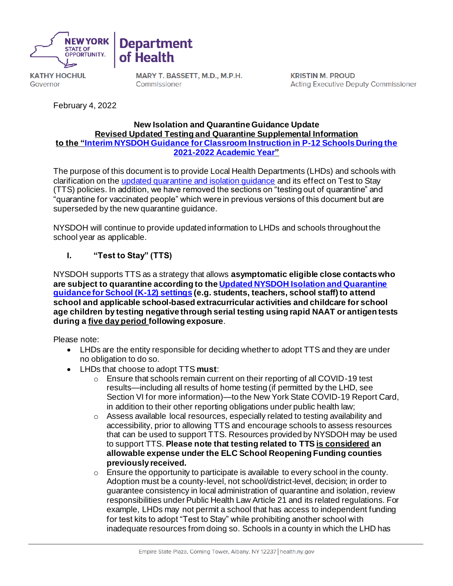



**KATHY HOCHUL** Governor

MARY T. BASSETT, M.D., M.P.H. Commissioner

**KRISTIN M. PROUD Acting Executive Deputy Commissioner** 

February 4, 2022

#### **New Isolation and Quarantine Guidance Update Revised Updated Testing and Quarantine Supplemental Information to the ["Interim NYSDOH Guidance for Classroom Instruction in P-12 Schools During the](https://coronavirus.health.ny.gov/system/files/documents/2021/09/school-guidance_0.pdf)  [2021-2022 Academic Year"](https://coronavirus.health.ny.gov/system/files/documents/2021/09/school-guidance_0.pdf)**

The purpose of this document is to provide Local Health Departments (LHDs) and schools with clarification on th[e updated quarantine and isolation guidance](https://coronavirus.health.ny.gov/new-york-state-contact-tracing) and its effect on Test to Stay (TTS) policies. In addition, we have removed the sections on "testing out of quarantine" and "quarantine for vaccinated people" which were in previous versions of this document but are superseded by the new quarantine guidance.

NYSDOH will continue to provide updated information to LHDs and schools throughout the school year as applicable.

## **I. "Test to Stay" (TTS)**

NYSDOH supports TTS as a strategy that allows **asymptomatic eligible close contacts who are subject to quarantine according to th[e Updated NYSDOH Isolation and Quarantine](https://coronavirus.health.ny.gov/new-york-state-contact-tracing)  [guidance for School \(K-12\) settings](https://coronavirus.health.ny.gov/new-york-state-contact-tracing) (e.g. students, teachers, school staff) to attend school and applicable school-based extracurricular activities and childcare for school age children by testing negative through serial testing using rapid NAAT or antigen tests during a five day period following exposure**.

Please note:

- LHDs are the entity responsible for deciding whether to adopt TTS and they are under no obligation to do so.
- LHDs that choose to adopt TTS **must**:
	- $\circ$  Ensure that schools remain current on their reporting of all COVID-19 test results—including all results of home testing (if permitted by the LHD, see Section VI for more information)—to the New York State COVID-19 Report Card, in addition to their other reporting obligations under public health law;
	- $\circ$  Assess available local resources, especially related to testing availability and accessibility, prior to allowing TTS and encourage schools to assess resources that can be used to support TTS. Resources provided by NYSDOH may be used to support TTS. **Please note that testing related to TTS is considered an allowable expense under the ELC School Reopening Funding counties previously received.**
	- o Ensure the opportunity to participate is available to every school in the county. Adoption must be a county-level, not school/district-level, decision; in order to guarantee consistency in local administration of quarantine and isolation, review responsibilities under Public Health Law Article 21 and its related regulations. For example, LHDs may not permit a school that has access to independent funding for test kits to adopt "Test to Stay" while prohibiting another school with inadequate resources from doing so. Schools in a county in which the LHD has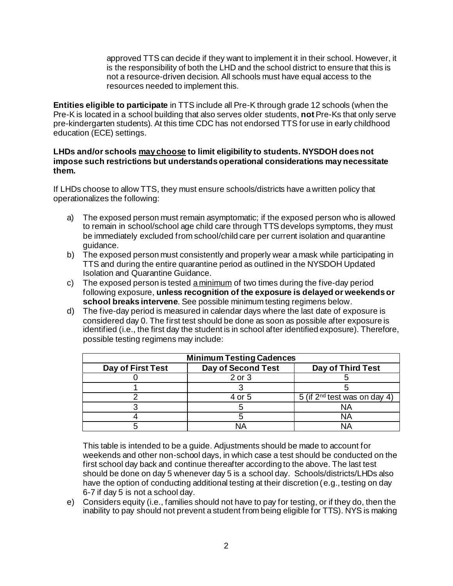approved TTS can decide if they want to implement it in their school. However, it is the responsibility of both the LHD and the school district to ensure that this is not a resource-driven decision. All schools must have equal access to the resources needed to implement this.

**Entities eligible to participate** in TTS include all Pre-K through grade 12 schools (when the Pre-K is located in a school building that also serves older students, **not** Pre-Ks that only serve pre-kindergarten students). At this time CDC has not endorsed TTS for use in early childhood education (ECE) settings.

#### **LHDs and/or schools may choose to limit eligibility to students. NYSDOH does not impose such restrictions but understands operational considerations may necessitate them.**

If LHDs choose to allow TTS, they must ensure schools/districts have a written policy that operationalizes the following:

- a) The exposed person must remain asymptomatic; if the exposed person who is allowed to remain in school/school age child care through TTS develops symptoms, they must be immediately excluded from school/child care per current isolation and quarantine guidance.
- b) The exposed person must consistently and properly wear a mask while participating in TTS and during the entire quarantine period as outlined in the NYSDOH Updated Isolation and Quarantine Guidance.
- c) The exposed person is tested a minimum of two times during the five-day period following exposure, **unless recognition of the exposure is delayed or weekends or school breaks intervene**. See possible minimum testing regimens below.
- d) The five-day period is measured in calendar days where the last date of exposure is considered day 0. The first test should be done as soon as possible after exposure is identified (i.e., the first day the student is in school after identified exposure). Therefore, possible testing regimens may include:

| <b>Minimum Testing Cadences</b> |                    |                                   |
|---------------------------------|--------------------|-----------------------------------|
| Day of First Test               | Day of Second Test | Day of Third Test                 |
|                                 | 2 or 3             |                                   |
|                                 |                    |                                   |
|                                 | 4 or 5             | 5 (if $2^{nd}$ test was on day 4) |
|                                 |                    | ΝA                                |
|                                 |                    | NΑ                                |
|                                 |                    | <b>NA</b>                         |

This table is intended to be a guide. Adjustments should be made to account for weekends and other non-school days, in which case a test should be conducted on the first school day back and continue thereafter according to the above. The last test should be done on day 5 whenever day 5 is a school day. Schools/districts/LHDs also have the option of conducting additional testing at their discretion (e.g., testing on day 6-7 if day 5 is not a school day.

e) Considers equity (i.e., families should not have to pay for testing, or if they do, then the inability to pay should not prevent a student from being eligible for TTS). NYS is making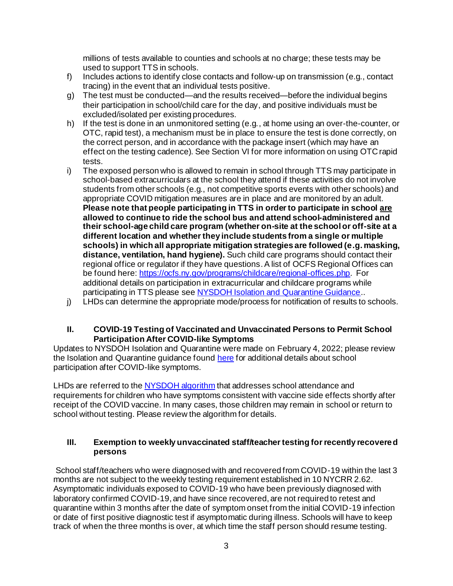millions of tests available to counties and schools at no charge; these tests may be used to support TTS in schools.

- f) Includes actions to identify close contacts and follow-up on transmission (e.g., contact tracing) in the event that an individual tests positive.
- g) The test must be conducted—and the results received—before the individual begins their participation in school/child care for the day, and positive individuals must be excluded/isolated per existing procedures.
- h) If the test is done in an unmonitored setting (e.g., at home using an over-the-counter, or OTC, rapid test), a mechanism must be in place to ensure the test is done correctly, on the correct person, and in accordance with the package insert (which may have an effect on the testing cadence). See Section VI for more information on using OTC rapid tests.
- i) The exposed person who is allowed to remain in school through TTS may participate in school-based extracurriculars at the school they attend if these activities do not involve students from other schools (e.g., not competitive sports events with other schools) and appropriate COVID mitigation measures are in place and are monitored by an adult. **Please note that people participating in TTS in order to participate in school are allowed to continue to ride the school bus and attend school-administered and their school-age child care program (whether on-site at the school or off-site at a different location and whether they include students from a single or multiple schools) in which all appropriate mitigation strategies are followed (e.g. masking, distance, ventilation, hand hygiene).** Such child care programs should contact their regional office or regulator if they have questions.A list of OCFS Regional Offices can be found here[: https://ocfs.ny.gov/programs/childcare/regional-offices.php](https://gcc02.safelinks.protection.outlook.com/?url=https%3A%2F%2Focfs.ny.gov%2Fprograms%2Fchildcare%2Fregional-offices.php&data=04%7C01%7CDanielle.Greene%40health.ny.gov%7Cdd5dc59b27ec4a3c675b08d9e68c68f3%7Cf46cb8ea79004d108ceb80e8c1c81ee7%7C0%7C0%7C637794312988368833%7CUnknown%7CTWFpbGZsb3d8eyJWIjoiMC4wLjAwMDAiLCJQIjoiV2luMzIiLCJBTiI6Ik1haWwiLCJXVCI6Mn0%3D%7C3000&sdata=TYf9iRIo0B3eDe1VZLSjroIURbC6uhWJc%2F8YWc8xhOo%3D&reserved=0). For additional details on participation in extracurricular and childcare programs while participating in TTS please se[e NYSDOH Isolation and Quarantine Guidance.](https://coronavirus.health.ny.gov/new-york-state-contact-tracing)..
- j) LHDs can determine the appropriate mode/process for notification of results to schools.

### **II. COVID-19 Testing of Vaccinated and Unvaccinated Persons to Permit School Participation After COVID-like Symptoms**

Updates to NYSDOH Isolation and Quarantine were made on February 4, 2022; please review the Isolation and Quarantine guidance foun[d here](https://coronavirus.health.ny.gov/new-york-state-contact-tracing) for additional details about school participation after COVID-like symptoms.

LHDs are referred to th[e NYSDOH](https://coronavirus.health.ny.gov/system/files/documents/2021/11/return_to_school_algorithm.pdf) algorithm that addresses school attendance and requirements for children who have symptoms consistent with vaccine side effects shortly after receipt of the COVID vaccine. In many cases, those children may remain in school or return to school without testing. Please review the algorithm for details.

### **III. Exemption to weekly unvaccinated staff/teacher testing for recently recovered persons**

School staff/teachers who were diagnosed with and recovered from COVID-19 within the last 3 months are not subject to the weekly testing requirement established in 10 NYCRR 2.62. Asymptomatic individuals exposed to COVID-19 who have been previously diagnosed with laboratory confirmed COVID-19, and have since recovered, are not required to retest and quarantine within 3 months after the date of symptom onset from the initial COVID-19 infection or date of first positive diagnostic test if asymptomatic during illness. Schools will have to keep track of when the three months is over, at which time the staff person should resume testing.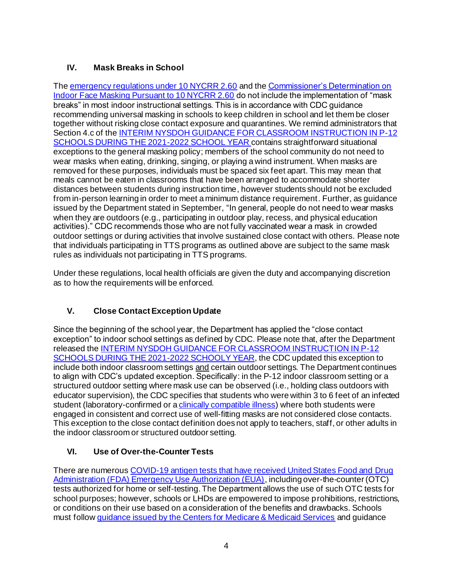## **IV. Mask Breaks in School**

The [emergency regulations under 10 NYCRR 2.60](https://regs.health.ny.gov/sites/default/files/pdf/emergency_regulations/Face%20Coverings%20for%20COVID-19%20Prevention.pdf) and the Commissioner's Determination on [Indoor Face Masking Pursuant to 10 NYCRR 2.60](https://coronavirus.health.ny.gov/system/files/documents/2021/12/2.60-determination-12.10.21.pdf) do not include the implementation of "mask breaks" in most indoor instructional settings. This is in accordance with CDC guidance recommending universal masking in schools to keep children in school and let them be closer together without risking close contact exposure and quarantines. We remind administrators that Section 4.c of th[e INTERIM NYSDOH GUIDANCE FOR CLASSROOM INSTRUCTION IN P-12](https://gcc02.safelinks.protection.outlook.com/?url=https%3A%2F%2Fcoronavirus.health.ny.gov%2Fsystem%2Ffiles%2Fdocuments%2F2021%2F09%2Fschool-guidance_0.pdf&data=04%7C01%7CDanielle.Greene%40health.ny.gov%7Ce737fe27f86e4d024dd208d9aeafb867%7Cf46cb8ea79004d108ceb80e8c1c81ee7%7C0%7C0%7C637732892001415162%7CUnknown%7CTWFpbGZsb3d8eyJWIjoiMC4wLjAwMDAiLCJQIjoiV2luMzIiLCJBTiI6Ik1haWwiLCJXVCI6Mn0%3D%7C3000&sdata=Ipf7Rt1nEpwGlnSW5EZNopQsr7tjIxND1w520FxrERI%3D&reserved=0)  [SCHOOLS DURING THE 2021-2022 SCHOOL YEAR](https://gcc02.safelinks.protection.outlook.com/?url=https%3A%2F%2Fcoronavirus.health.ny.gov%2Fsystem%2Ffiles%2Fdocuments%2F2021%2F09%2Fschool-guidance_0.pdf&data=04%7C01%7CDanielle.Greene%40health.ny.gov%7Ce737fe27f86e4d024dd208d9aeafb867%7Cf46cb8ea79004d108ceb80e8c1c81ee7%7C0%7C0%7C637732892001415162%7CUnknown%7CTWFpbGZsb3d8eyJWIjoiMC4wLjAwMDAiLCJQIjoiV2luMzIiLCJBTiI6Ik1haWwiLCJXVCI6Mn0%3D%7C3000&sdata=Ipf7Rt1nEpwGlnSW5EZNopQsr7tjIxND1w520FxrERI%3D&reserved=0) contains straightforward situational exceptions to the general masking policy; members of the school community do not need to wear masks when eating, drinking, singing, or playing a wind instrument. When masks are removed for these purposes, individuals must be spaced six feet apart. This may mean that meals cannot be eaten in classrooms that have been arranged to accommodate shorter distances between students during instruction time, however students should not be excluded from in-person learning in order to meet a minimum distance requirement. Further, as guidance issued by the Department stated in September, "In general, people do not need to wear masks when they are outdoors (e.g., participating in outdoor play, recess, and physical education activities)." CDC recommends those who are not fully vaccinated wear a mask in crowded outdoor settings or during activities that involve sustained close contact with others. Please note that individuals participating in TTS programs as outlined above are subject to the same mask rules as individuals not participating in TTS programs.

Under these regulations, local health officials are given the duty and accompanying discretion as to how the requirements will be enforced.

# **V. Close Contact Exception Update**

Since the beginning of the school year, the Department has applied the "close contact exception" to indoor school settings as defined by CDC. Please note that, after the Department released th[e INTERIM NYSDOH GUIDANCE FOR CLASSROOM INSTRUCTION IN P-12](https://gcc02.safelinks.protection.outlook.com/?url=https%3A%2F%2Fcoronavirus.health.ny.gov%2Fsystem%2Ffiles%2Fdocuments%2F2021%2F09%2Fschool-guidance_0.pdf&data=04%7C01%7CDanielle.Greene%40health.ny.gov%7Ce737fe27f86e4d024dd208d9aeafb867%7Cf46cb8ea79004d108ceb80e8c1c81ee7%7C0%7C0%7C637732892001425117%7CUnknown%7CTWFpbGZsb3d8eyJWIjoiMC4wLjAwMDAiLCJQIjoiV2luMzIiLCJBTiI6Ik1haWwiLCJXVCI6Mn0%3D%7C3000&sdata=PgH1KURh7XtkhRRV%2FDZ%2BMfygg20xJifMKDMtcxBTEh0%3D&reserved=0)  [SCHOOLS DURING THE 2021-2022 SCHOOLY YEAR,](https://gcc02.safelinks.protection.outlook.com/?url=https%3A%2F%2Fcoronavirus.health.ny.gov%2Fsystem%2Ffiles%2Fdocuments%2F2021%2F09%2Fschool-guidance_0.pdf&data=04%7C01%7CDanielle.Greene%40health.ny.gov%7Ce737fe27f86e4d024dd208d9aeafb867%7Cf46cb8ea79004d108ceb80e8c1c81ee7%7C0%7C0%7C637732892001425117%7CUnknown%7CTWFpbGZsb3d8eyJWIjoiMC4wLjAwMDAiLCJQIjoiV2luMzIiLCJBTiI6Ik1haWwiLCJXVCI6Mn0%3D%7C3000&sdata=PgH1KURh7XtkhRRV%2FDZ%2BMfygg20xJifMKDMtcxBTEh0%3D&reserved=0) the CDC updated this exception to include both indoor classroom settings and certain outdoor settings. The Department continues to align with CDC's updated exception. Specifically: in the P-12 indoor classroom setting or a structured outdoor setting where mask use can be observed (i.e., holding class outdoors with educator supervision), the CDC specifies that students who were within 3 to 6 feet of an infected student (laboratory-confirmed or a [clinically compatible illness\)](https://gcc02.safelinks.protection.outlook.com/?url=https%3A%2F%2Fwww.cdc.gov%2Fcoronavirus%2F2019-ncov%2Fhcp%2Fclinical-guidance-management-patients.html&data=04%7C01%7CDanielle.Greene%40health.ny.gov%7Ce737fe27f86e4d024dd208d9aeafb867%7Cf46cb8ea79004d108ceb80e8c1c81ee7%7C0%7C0%7C637732892001435071%7CUnknown%7CTWFpbGZsb3d8eyJWIjoiMC4wLjAwMDAiLCJQIjoiV2luMzIiLCJBTiI6Ik1haWwiLCJXVCI6Mn0%3D%7C3000&sdata=AcNwort%2FbKCQsX%2BpqQgVSUdn%2FHrwy9KYlpsOEqFndpQ%3D&reserved=0) where both students were engaged in consistent and correct use of well-fitting masks are not considered close contacts. This exception to the close contact definition does not apply to teachers, staff, or other adults in the indoor classroom or structured outdoor setting.

# **VI. Use of Over-the-Counter Tests**

There are numerou[s COVID-19 antigen tests that have received United States Food and Drug](https://www.fda.gov/medical-devices/coronavirus-disease-2019-covid-19-emergency-use-authorizations-medical-devices/in-vitro-diagnostics-euas-antigen-diagnostic-tests-sars-cov-2)  [Administration \(FDA\) Emergency Use Authorization \(EUA\)](https://www.fda.gov/medical-devices/coronavirus-disease-2019-covid-19-emergency-use-authorizations-medical-devices/in-vitro-diagnostics-euas-antigen-diagnostic-tests-sars-cov-2), including over-the-counter (OTC) tests authorized for home or self-testing. The Department allows the use of such OTC tests for school purposes; however, schools or LHDs are empowered to impose prohibitions, restrictions, or conditions on their use based on a consideration of the benefits and drawbacks. Schools must follo[w guidance issued by the Centers for Medicare & Medicaid Services](https://www.cms.gov/files/document/over-counter-otc-home-testing-and-clia-applicability.pdf?ACSTrackingID=USCDC_2146-DM70743&ACSTrackingLabel=Lab%20Advisory%3A%20CMS%20Publishes%20New%20FAQ%20about%20Over-the-Counter%20Home%20Testing%20and%20CLIA&deliveryName=USCDC_2146-DM70743) and guidance